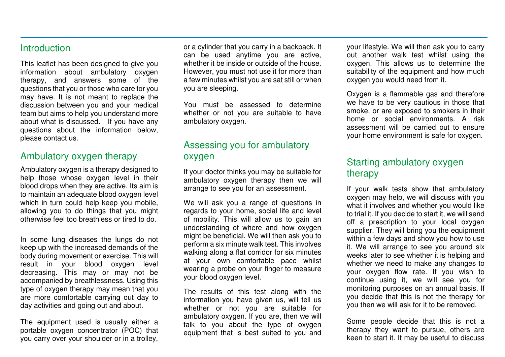#### **Introduction**

This leaflet has been designed to give you information about ambulatory oxygen therapy, and answers some of the questions that you or those who care for you may have. It is not meant to replace the discussion between you and your medical team but aims to help you understand more about what is discussed. If you have any questions about the information below, please contact us.

## Ambulatory oxygen therapy

Ambulatory oxygen is a therapy designed to help those whose oxygen level in their blood drops when they are active. Its aim is to maintain an adequate blood oxygen level which in turn could help keep you mobile, allowing you to do things that you might otherwise feel too breathless or tired to do.

In some lung diseases the lungs do not keep up with the increased demands of the body during movement or exercise. This will result in your blood oxygen level decreasing. This may or may not be accompanied by breathlessness. Using this type of oxygen therapy may mean that you are more comfortable carrying out day to day activities and going out and about.

The equipment used is usually either a portable oxygen concentrator (POC) that you carry over your shoulder or in a trolley, or a cylinder that you carry in a backpack. It can be used anytime you are active, whether it be inside or outside of the house. However, you must not use it for more than a few minutes whilst you are sat still or when you are sleeping.

You must be assessed to determine whether or not you are suitable to have ambulatory oxygen.

### Assessing you for ambulatory oxygen

If your doctor thinks you may be suitable for ambulatory oxygen therapy then we will arrange to see you for an assessment.

We will ask you a range of questions in regards to your home, social life and level of mobility. This will allow us to gain an understanding of where and how oxygen might be beneficial. We will then ask you to perform a six minute walk test. This involves walking along a flat corridor for six minutes at your own comfortable pace whilst wearing a probe on your finger to measure your blood oxygen level.

The results of this test along with the information you have given us, will tell us whether or not you are suitable for ambulatory oxygen. If you are, then we will talk to you about the type of oxygen equipment that is best suited to you and your lifestyle. We will then ask you to carry out another walk test whilst using the oxygen. This allows us to determine the suitability of the equipment and how much oxygen you would need from it.

Oxygen is a flammable gas and therefore we have to be very cautious in those that smoke, or are exposed to smokers in their home or social environments. A risk assessment will be carried out to ensure your home environment is safe for oxygen.

## Starting ambulatory oxygen therapy

If your walk tests show that ambulatory oxygen may help, we will discuss with you what it involves and whether you would like to trial it. If you decide to start it, we will send off a prescription to your local oxygen supplier. They will bring you the equipment within a few days and show you how to use it. We will arrange to see you around six weeks later to see whether it is helping and whether we need to make any changes to your oxygen flow rate. If you wish to continue using it, we will see you for monitoring purposes on an annual basis. If you decide that this is not the therapy for you then we will ask for it to be removed.

Some people decide that this is not a therapy they want to pursue, others are keen to start it. It may be useful to discuss